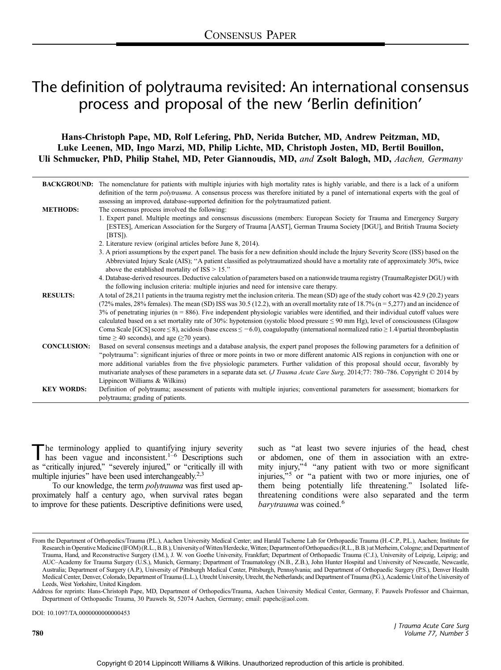# The definition of polytrauma revisited: An international consensus process and proposal of the new 'Berlin definition'

Hans-Christoph Pape, MD, Rolf Lefering, PhD, Nerida Butcher, MD, Andrew Peitzman, MD, Luke Leenen, MD, Ingo Marzi, MD, Philip Lichte, MD, Christoph Josten, MD, Bertil Bouillon, Uli Schmucker, PhD, Philip Stahel, MD, Peter Giannoudis, MD, and Zsolt Balogh, MD, Aachen, Germany

|                    | <b>BACKGROUND:</b> The nomenclature for patients with multiple injuries with high mortality rates is highly variable, and there is a lack of a uniform |
|--------------------|--------------------------------------------------------------------------------------------------------------------------------------------------------|
|                    | definition of the term <i>polytrauma</i> . A consensus process was therefore initiated by a panel of international experts with the goal of            |
|                    | assessing an improved, database-supported definition for the polytraumatized patient.                                                                  |
| <b>METHODS:</b>    | The consensus process involved the following:                                                                                                          |
|                    | 1. Expert panel. Multiple meetings and consensus discussions (members: European Society for Trauma and Emergency Surgery                               |
|                    | [ESTES], American Association for the Surgery of Trauma [AAST], German Trauma Society [DGU], and British Trauma Society                                |
|                    | $[BTS]$ ).                                                                                                                                             |
|                    | 2. Literature review (original articles before June 8, 2014).                                                                                          |
|                    | 3. A priori assumptions by the expert panel. The basis for a new definition should include the Injury Severity Score (ISS) based on the                |
|                    | Abbreviated Injury Scale (AIS); "A patient classified as polytraumatized should have a mortality rate of approximately 30%, twice                      |
|                    | above the established mortality of $ISS > 15."$                                                                                                        |
|                    | 4. Database-derived resources. Deductive calculation of parameters based on a nationwide trauma registry (TraumaRegister DGU) with                     |
|                    | the following inclusion criteria: multiple injuries and need for intensive care therapy.                                                               |
| <b>RESULTS:</b>    | A total of 28,211 patients in the trauma registry met the inclusion criteria. The mean (SD) age of the study cohort was 42.9 (20.2) years              |
|                    | (72% males, 28% females). The mean (SD) ISS was 30.5 (12.2), with an overall mortality rate of 18.7% ( $n = 5.277$ ) and an incidence of               |
|                    | $3\%$ of penetrating injuries ( $n = 886$ ). Five independent physiologic variables were identified, and their individual cutoff values were           |
|                    | calculated based on a set mortality rate of 30%: hypotension (systolic blood pressure $\leq$ 90 mm Hg), level of consciousness (Glasgow                |
|                    | Coma Scale [GCS] score $\leq$ 8), acidosis (base excess $\leq$ -6.0), coagulopathy (international normalized ratio $\geq$ 1.4/partial thromboplastin   |
|                    | time $\geq$ 40 seconds), and age ( $\geq$ 70 years).                                                                                                   |
| <b>CONCLUSION:</b> | Based on several consensus meetings and a database analysis, the expert panel proposes the following parameters for a definition of                    |
|                    | "polytrauma": significant injuries of three or more points in two or more different anatomic AIS regions in conjunction with one or                    |
|                    | more additional variables from the five physiologic parameters. Further validation of this proposal should occur, favorably by                         |
|                    | mutivariate analyses of these parameters in a separate data set. ( <i>J Trauma Acute Care Surg.</i> 2014;77: 780–786. Copyright © 2014 by              |
|                    | Lippincott Williams & Wilkins)                                                                                                                         |
| <b>KEY WORDS:</b>  | Definition of polytrauma; assessment of patients with multiple injuries; conventional parameters for assessment; biomarkers for                        |
|                    | polytrauma; grading of patients.                                                                                                                       |

The terminology applied to quantifying injury severity has been vague and inconsistent.<sup>1-6</sup> Descriptions such as "critically injured," "severely injured," or "critically ill with multiple injuries" have been used interchangeably.<sup>2,3</sup>

To our knowledge, the term *polytrauma* was first used approximately half a century ago, when survival rates began to improve for these patients. Descriptive definitions were used,

such as "at least two severe injuries of the head, chest or abdomen, one of them in association with an extremity injury,"<sup>4</sup> "any patient with two or more significant injuries,"<sup>5</sup> or "a patient with two or more injuries, one of them being potentially life threatening.'' Isolated lifethreatening conditions were also separated and the term barytrauma was coined.<sup>6</sup>

Address for reprints: Hans-Christoph Pape, MD, Department of Orthopedics/Trauma, Aachen University Medical Center, Germany, F. Pauwels Professor and Chairman, Department of Orthopaedic Trauma, 30 Pauwels St, 52074 Aachen, Germany; email: [papehc@aol.com](mailto:papehc@aol.com).

DOI: 10.1097/TA.0000000000000453

J Trauma Acute Care Surg 780 Volume 77, Number 5

From the Department of Orthopedics/Trauma (P.L.), Aachen University Medical Center; and Harald Tscherne Lab for Orthopaedic Trauma (H.-C.P., P.L.), Aachen; Institute for Research in Operative Medicine (IFOM) (R.L., B.B.), University of Witten/Herdecke, Witten; Department of Orthopaedics (R.L., B.B.) at Merheim, Cologne; and Department of Trauma, Hand, and Reconstructive Surgery (I.M.), J. W. von Goethe University, Frankfurt; Department of Orthopaedic Trauma (C.J.), University of Leipzig, Leipzig; and AUC-Academy for Trauma Surgery (U.S.), Munich, Germany; Department of Traumatology (N.B., Z.B.), John Hunter Hospital and University of Newcastle, Newcastle, Australia; Department of Surgery (A.P.), University of Pittsburgh Medical Center, Pittsburgh, Pennsylvania; and Department of Orthopaedic Surgery (P.S.), Denver Health Medical Center, Denver, Colorado, Department of Trauma (L.L.), Utrecht University, Utrecht, the Netherlands; and Department of Trauma (P.G.), Academic Unit of the University of Leeds, West Yorkshire, United Kingdom.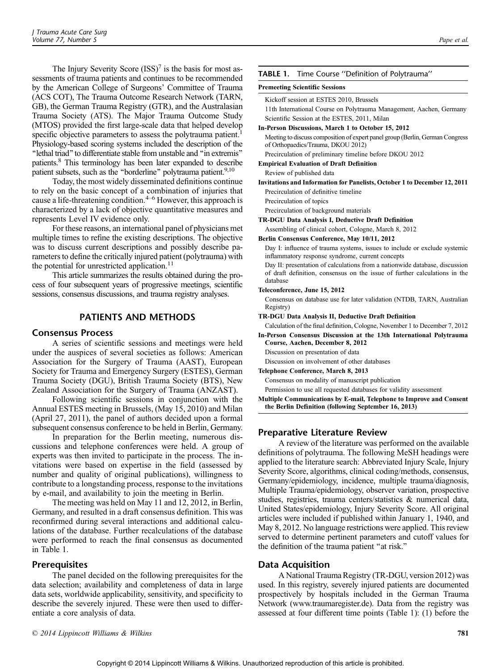The Injury Severity Score  $(ISS)^7$  is the basis for most assessments of trauma patients and continues to be recommended by the American College of Surgeons' Committee of Trauma (ACS COT), The Trauma Outcome Research Network (TARN, GB), the German Trauma Registry (GTR), and the Australasian Trauma Society (ATS). The Major Trauma Outcome Study (MTOS) provided the first large-scale data that helped develop specific objective parameters to assess the polytrauma patient.<sup>1</sup> Physiology-based scoring systems included the description of the ''lethal triad''to differentiate stable from unstable and ''in extremis'' patients.8 This terminology has been later expanded to describe patient subsets, such as the "borderline" polytrauma patient.<sup>9,10</sup>

Today, the most widely disseminated definitions continue to rely on the basic concept of a combination of injuries that cause a life-threatening condition. $4-6$  However, this approach is characterized by a lack of objective quantitative measures and represents Level IV evidence only.

For these reasons, an international panel of physicians met multiple times to refine the existing descriptions. The objective was to discuss current descriptions and possibly describe parameters to define the critically injured patient (polytrauma) with the potential for unrestricted application.<sup>11</sup>

This article summarizes the results obtained during the process of four subsequent years of progressive meetings, scientific sessions, consensus discussions, and trauma registry analyses.

#### PATIENTS AND METHODS

#### Consensus Process

A series of scientific sessions and meetings were held under the auspices of several societies as follows: American Association for the Surgery of Trauma (AAST), European Society for Trauma and Emergency Surgery (ESTES), German Trauma Society (DGU), British Trauma Society (BTS), New Zealand Association for the Surgery of Trauma (ANZAST).

Following scientific sessions in conjunction with the Annual ESTES meeting in Brussels, (May 15, 2010) and Milan (April 27, 2011), the panel of authors decided upon a formal subsequent consensus conference to be held in Berlin, Germany.

In preparation for the Berlin meeting, numerous discussions and telephone conferences were held. A group of experts was then invited to participate in the process. The invitations were based on expertise in the field (assessed by number and quality of original publications), willingness to contribute to a longstanding process, response to the invitations by e-mail, and availability to join the meeting in Berlin.

The meeting was held on May 11 and 12, 2012, in Berlin, Germany, and resulted in a draft consensus definition. This was reconfirmed during several interactions and additional calculations of the database. Further recalculations of the database were performed to reach the final consensus as documented in Table 1.

#### Prerequisites

The panel decided on the following prerequisites for the data selection; availability and completeness of data in large data sets, worldwide applicability, sensitivity, and specificity to describe the severely injured. These were then used to differentiate a core analysis of data.

#### TABLE 1. Time Course ''Definition of Polytrauma''

#### Premeeting Scientific Sessions

Kickoff session at ESTES 2010, Brussels

11th International Course on Polytrauma Management, Aachen, Germany Scientific Session at the ESTES, 2011, Milan

In-Person Discussions, March 1 to October 15, 2012

Meeting to discuss composition of expert panel group (Berlin, German Congress of Orthopaedics/Trauma, DKOU 2012)

Precirculation of preliminary timeline before DKOU 2012

Empirical Evaluation of Draft Definition

Review of published data

Invitations and Information for Panelists, October 1 to December 12, 2011 Precirculation of definitive timeline

Precirculation of topics

Precirculation of background materials

TR-DGU Data Analysis I, Deductive Draft Definition

Assembling of clinical cohort, Cologne, March 8, 2012

Berlin Consensus Conference, May 10/11, 2012

Day I: influence of trauma systems, issues to include or exclude systemic inflammatory response syndrome, current concepts

Day II: presentation of calculations from a nationwide database, discussion of draft definition, consensus on the issue of further calculations in the database

#### Teleconference, June 15, 2012

Consensus on database use for later validation (NTDB, TARN, Australian Registry)

TR-DGU Data Analysis II, Deductive Draft Definition

Calculation of the final definition, Cologne, November 1 to December 7, 2012

In-Person Consensus Discussion at the 13th International Polytrauma Course, Aachen, December 8, 2012

Discussion on presentation of data

- Discussion on involvement of other databases
- Telephone Conference, March 8, 2013

Consensus on modality of manuscript publication

Permission to use all requested databases for validity assessment

Multiple Communications by E-mail, Telephone to Improve and Consent the Berlin Definition (following September 16, 2013)

#### Preparative Literature Review

A review of the literature was performed on the available definitions of polytrauma. The following MeSH headings were applied to the literature search: Abbreviated Injury Scale, Injury Severity Score, algorithms, clinical coding/methods, consensus, Germany/epidemiology, incidence, multiple trauma/diagnosis, Multiple Trauma/epidemiology, observer variation, prospective studies, registries, trauma centers/statistics & numerical data, United States/epidemiology, Injury Severity Score. All original articles were included if published within January 1, 1940, and May 8, 2012. No language restrictions were applied. This review served to determine pertinent parameters and cutoff values for the definition of the trauma patient ''at risk.''

#### Data Acquisition

A National Trauma Registry (TR-DGU, version 2012) was used. In this registry, severely injured patients are documented prospectively by hospitals included in the German Trauma Network (www.traumaregister.de). Data from the registry was assessed at four different time points (Table 1): (1) before the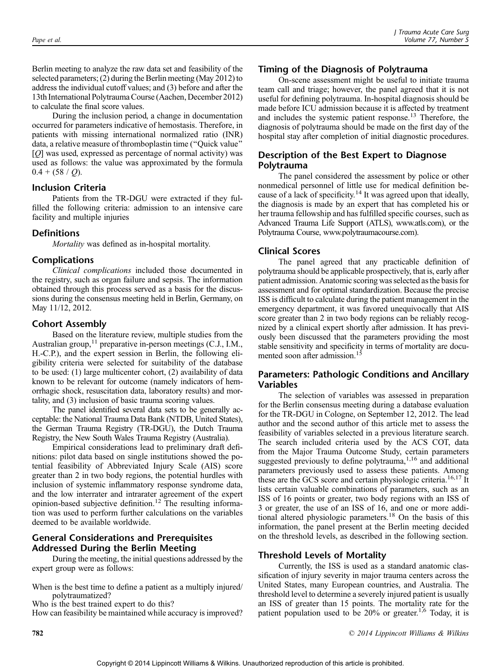Berlin meeting to analyze the raw data set and feasibility of the selected parameters; (2) during the Berlin meeting (May 2012) to address the individual cutoff values; and (3) before and after the 13th International Polytrauma Course (Aachen, December 2012) to calculate the final score values.

During the inclusion period, a change in documentation occurred for parameters indicative of hemostasis. Therefore, in patients with missing international normalized ratio (INR) data, a relative measure of thromboplastin time (''Quick value''  $[Q]$  was used, expressed as percentage of normal activity) was used as follows: the value was approximated by the formula  $0.4 + (58 / Q)$ .

# Inclusion Criteria

Patients from the TR-DGU were extracted if they fulfilled the following criteria: admission to an intensive care facility and multiple injuries

# Definitions

Mortality was defined as in-hospital mortality.

# Complications

Clinical complications included those documented in the registry, such as organ failure and sepsis. The information obtained through this process served as a basis for the discussions during the consensus meeting held in Berlin, Germany, on May 11/12, 2012.

# Cohort Assembly

Based on the literature review, multiple studies from the Australian group,<sup>11</sup> preparative in-person meetings (C.J., I.M., H.-C.P.), and the expert session in Berlin, the following eligibility criteria were selected for suitability of the database to be used: (1) large multicenter cohort, (2) availability of data known to be relevant for outcome (namely indicators of hemorrhagic shock, resuscitation data, laboratory results) and mortality, and (3) inclusion of basic trauma scoring values.

The panel identified several data sets to be generally acceptable: the National Trauma Data Bank (NTDB, United States), the German Trauma Registry (TR-DGU), the Dutch Trauma Registry, the New South Wales Trauma Registry (Australia).

Empirical considerations lead to preliminary draft definitions: pilot data based on single institutions showed the potential feasibility of Abbreviated Injury Scale (AIS) score greater than 2 in two body regions, the potential hurdles with inclusion of systemic inflammatory response syndrome data, and the low interrater and intrarater agreement of the expert opinion-based subjective definition.<sup>12</sup> The resulting information was used to perform further calculations on the variables deemed to be available worldwide.

# General Considerations and Prerequisites Addressed During the Berlin Meeting

During the meeting, the initial questions addressed by the expert group were as follows:

When is the best time to define a patient as a multiply injured/ polytraumatized?

Who is the best trained expert to do this?

How can feasibility be maintained while accuracy is improved?

# Timing of the Diagnosis of Polytrauma

On-scene assessment might be useful to initiate trauma team call and triage; however, the panel agreed that it is not useful for defining polytrauma. In-hospital diagnosis should be made before ICU admission because it is affected by treatment and includes the systemic patient response.<sup>13</sup> Therefore, the diagnosis of polytrauma should be made on the first day of the hospital stay after completion of initial diagnostic procedures.

# Description of the Best Expert to Diagnose Polytrauma

The panel considered the assessment by police or other nonmedical personnel of little use for medical definition because of a lack of specificity.<sup>14</sup> It was agreed upon that ideally, the diagnosis is made by an expert that has completed his or her trauma fellowship and has fulfilled specific courses, such as Advanced Trauma Life Support (ATLS), www.atls.com), or the Polytrauma Course, www.polytraumacourse.com).

# Clinical Scores

The panel agreed that any practicable definition of polytrauma should be applicable prospectively, that is, early after patient admission. Anatomic scoring was selected as the basis for assessment and for optimal standardization. Because the precise ISS is difficult to calculate during the patient management in the emergency department, it was favored unequivocally that AIS score greater than 2 in two body regions can be reliably recognized by a clinical expert shortly after admission. It has previously been discussed that the parameters providing the most stable sensitivity and specificity in terms of mortality are documented soon after admission.<sup>15</sup>

# Parameters: Pathologic Conditions and Ancillary Variables

The selection of variables was assessed in preparation for the Berlin consensus meeting during a database evaluation for the TR-DGU in Cologne, on September 12, 2012. The lead author and the second author of this article met to assess the feasibility of variables selected in a previous literature search. The search included criteria used by the ACS COT, data from the Major Trauma Outcome Study, certain parameters suggested previously to define polytrauma,<sup>1,16</sup> and additional parameters previously used to assess these patients. Among these are the GCS score and certain physiologic criteria.<sup>16,17</sup> It lists certain valuable combinations of parameters, such as an ISS of 16 points or greater, two body regions with an ISS of 3 or greater, the use of an ISS of 16, and one or more additional altered physiologic parameters.<sup>18</sup> On the basis of this information, the panel present at the Berlin meeting decided on the threshold levels, as described in the following section.

# Threshold Levels of Mortality

Currently, the ISS is used as a standard anatomic classification of injury severity in major trauma centers across the United States, many European countries, and Australia. The threshold level to determine a severely injured patient is usually an ISS of greater than 15 points. The mortality rate for the patient population used to be  $20\%$  or greater.<sup>1,6</sup> Today, it is

**782 Example 2014** Lippincott Williams & Wilkins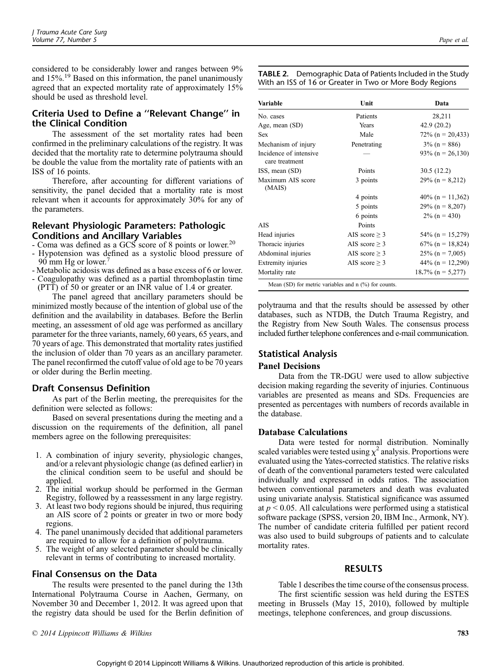considered to be considerably lower and ranges between 9% and 15%.19 Based on this information, the panel unanimously agreed that an expected mortality rate of approximately 15% should be used as threshold level.

# Criteria Used to Define a ''Relevant Change'' in the Clinical Condition

The assessment of the set mortality rates had been confirmed in the preliminary calculations of the registry. It was decided that the mortality rate to determine polytrauma should be double the value from the mortality rate of patients with an ISS of 16 points.

Therefore, after accounting for different variations of sensitivity, the panel decided that a mortality rate is most relevant when it accounts for approximately 30% for any of the parameters.

### Relevant Physiologic Parameters: Pathologic Conditions and Ancillary Variables

- Coma was defined as a GCS score of 8 points or lower.<sup>20</sup>
- Hypotension was defined as a systolic blood pressure of 90 mm Hg or lower.<sup>7</sup>
- Metabolic acidosis was defined as a base excess of 6 or lower.
- Coagulopathy was defined as a partial thromboplastin time (PTT) of 50 or greater or an INR value of 1.4 or greater.

The panel agreed that ancillary parameters should be minimized mostly because of the intention of global use of the definition and the availability in databases. Before the Berlin meeting, an assessment of old age was performed as ancillary parameter for the three variants, namely, 60 years, 65 years, and 70 years of age. This demonstrated that mortality rates justified the inclusion of older than 70 years as an ancillary parameter. The panel reconfirmed the cutoff value of old age to be 70 years or older during the Berlin meeting.

# Draft Consensus Definition

As part of the Berlin meeting, the prerequisites for the definition were selected as follows:

Based on several presentations during the meeting and a discussion on the requirements of the definition, all panel members agree on the following prerequisites:

- 1. A combination of injury severity, physiologic changes, and/or a relevant physiologic change (as defined earlier) in the clinical condition seem to be useful and should be applied.
- 2. The initial workup should be performed in the German Registry, followed by a reassessment in any large registry.
- 3. At least two body regions should be injured, thus requiring an AIS score of 2 points or greater in two or more body regions.
- 4. The panel unanimously decided that additional parameters are required to allow for a definition of polytrauma.
- 5. The weight of any selected parameter should be clinically relevant in terms of contributing to increased mortality.

#### Final Consensus on the Data

The results were presented to the panel during the 13th International Polytrauma Course in Aachen, Germany, on November 30 and December 1, 2012. It was agreed upon that the registry data should be used for the Berlin definition of

 $\odot$  2014 Lippincott Williams & Wilkins 783

TABLE 2. Demographic Data of Patients Included in the Study With an ISS of 16 or Greater in Two or More Body Regions

| <b>Variable</b>                          | Unit               | Data                 |
|------------------------------------------|--------------------|----------------------|
| No. cases                                | Patients           | 28,211               |
| Age, mean (SD)                           | Years              | 42.9(20.2)           |
| <b>Sex</b>                               | Male               | $72\%$ (n = 20,433)  |
| Mechanism of injury                      | Penetrating        | $3\%$ (n = 886)      |
| Incidence of intensive<br>care treatment |                    | $93\%$ (n = 26,130)  |
| ISS, mean (SD)                           | Points             | 30.5 (12.2)          |
| Maximum AIS score<br>(MAIS)              | 3 points           | $29\% (n = 8,212)$   |
|                                          | 4 points           | $40\%$ (n = 11,362)  |
|                                          | 5 points           | $29\% (n = 8,207)$   |
|                                          | 6 points           | $2\%$ (n = 430)      |
| AIS                                      | Points             |                      |
| Head injuries                            | AIS score $\geq$ 3 | $54\%$ (n = 15,279)  |
| Thoracic injuries                        | AIS score $\geq$ 3 | $67\%$ (n = 18,824)  |
| Abdominal injuries                       | AIS score $\geq$ 3 | $25\%$ (n = 7,005)   |
| <b>Extremity injuries</b>                | AIS score $\geq$ 3 | $44\%$ (n = 12,290)  |
| Mortality rate                           |                    | $18.7\%$ (n = 5,277) |

Mean (SD) for metric variables and n (%) for counts.

polytrauma and that the results should be assessed by other databases, such as NTDB, the Dutch Trauma Registry, and the Registry from New South Wales. The consensus process included further telephone conferences and e-mail communication.

# Statistical Analysis

#### Panel Decisions

Data from the TR-DGU were used to allow subjective decision making regarding the severity of injuries. Continuous variables are presented as means and SDs. Frequencies are presented as percentages with numbers of records available in the database.

#### Database Calculations

Data were tested for normal distribution. Nominally scaled variables were tested using  $\chi^2$  analysis. Proportions were evaluated using the Yates-corrected statistics. The relative risks of death of the conventional parameters tested were calculated individually and expressed in odds ratios. The association between conventional parameters and death was evaluated using univariate analysis. Statistical significance was assumed at  $p \le 0.05$ . All calculations were performed using a statistical software package (SPSS, version 20, IBM Inc., Armonk, NY). The number of candidate criteria fulfilled per patient record was also used to build subgroups of patients and to calculate mortality rates.

#### RESULTS

Table 1 describes the time course of the consensus process. The first scientific session was held during the ESTES meeting in Brussels (May 15, 2010), followed by multiple meetings, telephone conferences, and group discussions.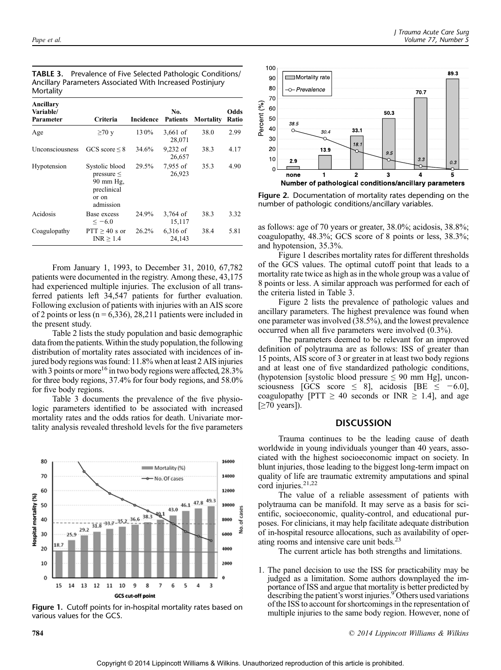|           | <b>TABLE 3.</b> Prevalence of Five Selected Pathologic Conditions/ |
|-----------|--------------------------------------------------------------------|
|           | Ancillary Parameters Associated With Increased Postinjury          |
| Mortality |                                                                    |

| Ancillary<br>Variable/<br>Parameter | Criteria                                                                            | Incidence | No.<br><b>Patients</b> | Mortality | Odds<br>Ratio |
|-------------------------------------|-------------------------------------------------------------------------------------|-----------|------------------------|-----------|---------------|
| Age                                 | $\geq 70$ y                                                                         | 13.0%     | 3,661 of<br>28,071     | 38.0      | 2.99          |
| Unconsciousness                     | $GCS$ score $\leq 8$                                                                | 34.6%     | $9,232$ of<br>26,657   | 38.3      | 4.17          |
| Hypotension                         | Systolic blood<br>pressure $\leq$<br>90 mm Hg,<br>preclinical<br>or on<br>admission | 29.5%     | 7,955 of<br>26,923     | 35.3      | 4.90          |
| Acidosis                            | Base excess<br>$<-6.0$                                                              | 24.9%     | 3,764 of<br>15,117     | 38.3      | 3.32          |
| Coagulopathy                        | $PTT > 40$ s or<br>$INR \geq 1.4$                                                   | 26.2%     | $6,316$ of<br>24,143   | 38.4      | 5.81          |

From January 1, 1993, to December 31, 2010, 67,782 patients were documented in the registry. Among these, 43,175 had experienced multiple injuries. The exclusion of all transferred patients left 34,547 patients for further evaluation. Following exclusion of patients with injuries with an AIS score of 2 points or less ( $n = 6,336$ ), 28,211 patients were included in the present study.

Table 2 lists the study population and basic demographic data from the patients.Within the study population, the following distribution of mortality rates associated with incidences of injured body regions was found: 11.8% when at least 2 AIS injuries with 3 points or more<sup>16</sup> in two body regions were affected,  $28.3\%$ for three body regions, 37.4% for four body regions, and 58.0% for five body regions.

Table 3 documents the prevalence of the five physiologic parameters identified to be associated with increased mortality rates and the odds ratios for death. Univariate mortality analysis revealed threshold levels for the five parameters



Figure 1. Cutoff points for in-hospital mortality rates based on various values for the GCS.



Figure 2. Documentation of mortality rates depending on the number of pathologic conditions/ancillary variables.

as follows: age of 70 years or greater, 38.0%; acidosis, 38.8%; coagulopathy, 48.3%; GCS score of 8 points or less, 38.3%; and hypotension, 35.3%.

Figure 1 describes mortality rates for different thresholds of the GCS values. The optimal cutoff point that leads to a mortality rate twice as high as in the whole group was a value of 8 points or less. A similar approach was performed for each of the criteria listed in Table 3.

Figure 2 lists the prevalence of pathologic values and ancillary parameters. The highest prevalence was found when one parameter was involved (38.5%), and the lowest prevalence occurred when all five parameters were involved (0.3%).

The parameters deemed to be relevant for an improved definition of polytrauma are as follows: ISS of greater than 15 points, AIS score of 3 or greater in at least two body regions and at least one of five standardized pathologic conditions, (hypotension [systolic blood pressure  $\leq 90$  mm Hg], unconsciousness [GCS score  $\leq$  8], acidosis [BE  $\leq$  -6.0], coagulopathy [PTT  $\geq 40$  seconds or INR  $\geq 1.4$ ], and age  $\geq$  70 years]).

#### **DISCUSSION**

Trauma continues to be the leading cause of death worldwide in young individuals younger than 40 years, associated with the highest socioeconomic impact on society. In blunt injuries, those leading to the biggest long-term impact on quality of life are traumatic extremity amputations and spinal cord injuries.<sup>21,22</sup>

The value of a reliable assessment of patients with polytrauma can be manifold. It may serve as a basis for scientific, socioeconomic, quality-control, and educational purposes. For clinicians, it may help facilitate adequate distribution of in-hospital resource allocations, such as availability of operating rooms and intensive care unit beds. $^{23}$ 

The current article has both strengths and limitations.

1. The panel decision to use the ISS for practicability may be judged as a limitation. Some authors downplayed the importance of ISS and argue that mortality is better predicted by describing the patient's worst injuries.<sup>9</sup> Others used variations of the ISS to account for shortcomings in the representation of multiple injuries to the same body region. However, none of

**784 Example 2014** Lippincott Williams & Wilkins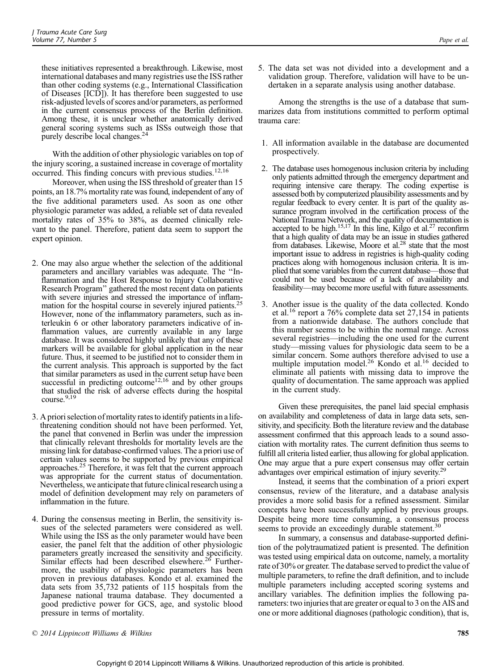these initiatives represented a breakthrough. Likewise, most international databases and many registries use the ISS rather than other coding systems (e.g., International Classification of Diseases [ICD]). It has therefore been suggested to use risk-adjusted levels of scores and/or parameters, as performed in the current consensus process of the Berlin definition. Among these, it is unclear whether anatomically derived general scoring systems such as ISSs outweigh those that purely describe local changes.24

With the addition of other physiologic variables on top of the injury scoring, a sustained increase in coverage of mortality occurred. This finding concurs with previous studies.<sup>12,16</sup>

Moreover, when using the ISS threshold of greater than 15 points, an 18.7% mortality rate was found, independent of any of the five additional parameters used. As soon as one other physiologic parameter was added, a reliable set of data revealed mortality rates of 35% to 38%, as deemed clinically relevant to the panel. Therefore, patient data seem to support the expert opinion.

- 2. One may also argue whether the selection of the additional parameters and ancillary variables was adequate. The ''Inflammation and the Host Response to Injury Collaborative Research Program'' gathered the most recent data on patients with severe injuries and stressed the importance of inflammation for the hospital course in severely injured patients.<sup>25</sup> However, none of the inflammatory parameters, such as interleukin 6 or other laboratory parameters indicative of inflammation values, are currently available in any large database. It was considered highly unlikely that any of these markers will be available for global application in the near future. Thus, it seemed to be justified not to consider them in the current analysis. This approach is supported by the fact that similar parameters as used in the current setup have been successful in predicting outcome<sup>12,16</sup> and by other groups that studied the risk of adverse effects during the hospital course.<sup>9,19</sup>
- 3. A priori selection of mortality rates to identify patients in a lifethreatening condition should not have been performed. Yet, the panel that convened in Berlin was under the impression that clinically relevant thresholds for mortality levels are the missing link for database-confirmed values. The a priori use of certain values seems to be supported by previous empirical approaches.25 Therefore, it was felt that the current approach was appropriate for the current status of documentation. Nevertheless, we anticipate that future clinical research using a model of definition development may rely on parameters of inflammation in the future.
- 4. During the consensus meeting in Berlin, the sensitivity issues of the selected parameters were considered as well. While using the ISS as the only parameter would have been easier, the panel felt that the addition of other physiologic parameters greatly increased the sensitivity and specificity. Similar effects had been described elsewhere.<sup>26</sup> Furthermore, the usability of physiologic parameters has been proven in previous databases. Kondo et al. examined the data sets from 35,732 patients of 115 hospitals from the Japanese national trauma database. They documented a good predictive power for GCS, age, and systolic blood pressure in terms of mortality.

5. The data set was not divided into a development and a validation group. Therefore, validation will have to be undertaken in a separate analysis using another database.

Among the strengths is the use of a database that summarizes data from institutions committed to perform optimal trauma care:

- 1. All information available in the database are documented prospectively.
- 2. The database uses homogenous inclusion criteria by including only patients admitted through the emergency department and requiring intensive care therapy. The coding expertise is assessed both by computerized plausibility assessments and by regular feedback to every center. It is part of the quality assurance program involved in the certification process of the National Trauma Network, and the quality of documentation is accepted to be high.<sup>15,17</sup> In this line, Kilgo et al.<sup>27</sup> reconfirm that a high quality of data may be an issue in studies gathered from databases. Likewise, Moore et al.<sup>28</sup> state that the most important issue to address in registries is high-quality coding practices along with homogenous inclusion criteria. It is implied that some variables from the current database—those that could not be used because of a lack of availability and feasibility—may become more useful with future assessments.
- 3. Another issue is the quality of the data collected. Kondo et al.<sup>16</sup> report a 76% complete data set 27,154 in patients from a nationwide database. The authors conclude that this number seems to be within the normal range. Across several registries—including the one used for the current study—missing values for physiologic data seem to be a similar concern. Some authors therefore advised to use a multiple imputation model.<sup>26</sup> Kondo et al.<sup>16</sup> decided to eliminate all patients with missing data to improve the quality of documentation. The same approach was applied in the current study.

Given these prerequisites, the panel laid special emphasis on availability and completeness of data in large data sets, sensitivity, and specificity. Both the literature review and the database assessment confirmed that this approach leads to a sound association with mortality rates. The current definition thus seems to fulfill all criteria listed earlier, thus allowing for global application. One may argue that a pure expert consensus may offer certain advantages over empirical estimation of injury severity.29

Instead, it seems that the combination of a priori expert consensus, review of the literature, and a database analysis provides a more solid basis for a refined assessment. Similar concepts have been successfully applied by previous groups. Despite being more time consuming, a consensus process seems to provide an exceedingly durable statement.<sup>30</sup>

In summary, a consensus and database-supported definition of the polytraumatized patient is presented. The definition was tested using empirical data on outcome, namely, a mortality rate of 30% or greater. The database served to predict the value of multiple parameters, to refine the draft definition, and to include multiple parameters including accepted scoring systems and ancillary variables. The definition implies the following parameters: two injuries that are greater or equal to 3 on the AIS and one or more additional diagnoses (pathologic condition), that is,

 $\odot$  2014 Lippincott Williams & Wilkins 785